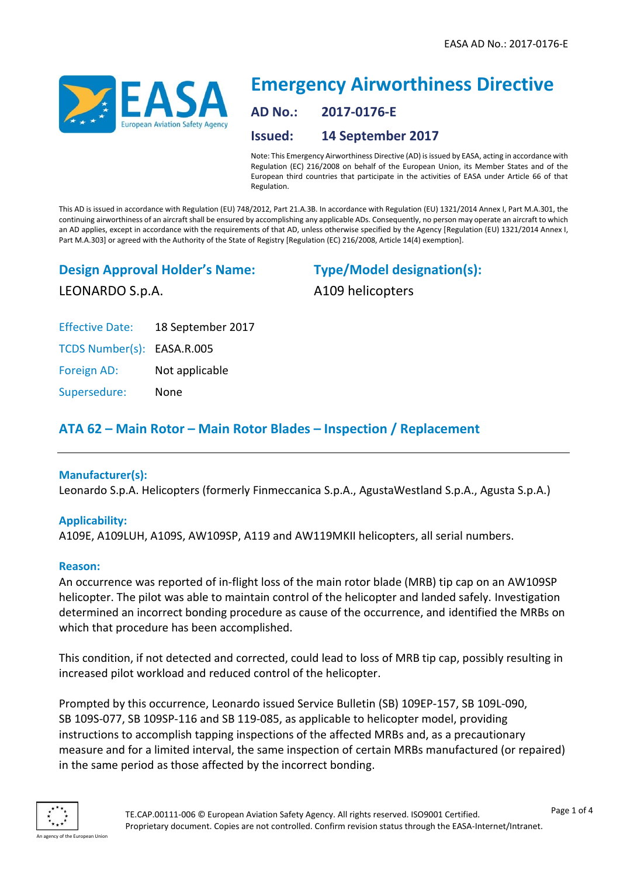

# **Emergency Airworthiness Directive AD No.: 2017-0176-E Issued: 14 September 2017**

Note: This Emergency Airworthiness Directive (AD) is issued by EASA, acting in accordance with Regulation (EC) 216/2008 on behalf of the European Union, its Member States and of the European third countries that participate in the activities of EASA under Article 66 of that Regulation.

This AD is issued in accordance with Regulation (EU) 748/2012, Part 21.A.3B. In accordance with Regulation (EU) 1321/2014 Annex I, Part M.A.301, the continuing airworthiness of an aircraft shall be ensured by accomplishing any applicable ADs. Consequently, no person may operate an aircraft to which an AD applies, except in accordance with the requirements of that AD, unless otherwise specified by the Agency [Regulation (EU) 1321/2014 Annex I, Part M.A.303] or agreed with the Authority of the State of Registry [Regulation (EC) 216/2008, Article 14(4) exemption].

**Design Approval Holder's Name:**

LEONARDO S.p.A.

**Type/Model designation(s):** A109 helicopters

Effective Date: 18 September 2017

TCDS Number(s): EASA.R.005

Foreign AD: Not applicable

Supersedure: None

# **ATA 62 – Main Rotor – Main Rotor Blades – Inspection / Replacement**

# **Manufacturer(s):**

Leonardo S.p.A. Helicopters (formerly Finmeccanica S.p.A., AgustaWestland S.p.A., Agusta S.p.A.)

# **Applicability:**

A109E, A109LUH, A109S, AW109SP, A119 and AW119MKII helicopters, all serial numbers.

#### **Reason:**

An occurrence was reported of in-flight loss of the main rotor blade (MRB) tip cap on an AW109SP helicopter. The pilot was able to maintain control of the helicopter and landed safely. Investigation determined an incorrect bonding procedure as cause of the occurrence, and identified the MRBs on which that procedure has been accomplished.

This condition, if not detected and corrected, could lead to loss of MRB tip cap, possibly resulting in increased pilot workload and reduced control of the helicopter.

Prompted by this occurrence, Leonardo issued Service Bulletin (SB) 109EP-157, SB 109L-090, SB 109S-077, SB 109SP-116 and SB 119-085, as applicable to helicopter model, providing instructions to accomplish tapping inspections of the affected MRBs and, as a precautionary measure and for a limited interval, the same inspection of certain MRBs manufactured (or repaired) in the same period as those affected by the incorrect bonding.

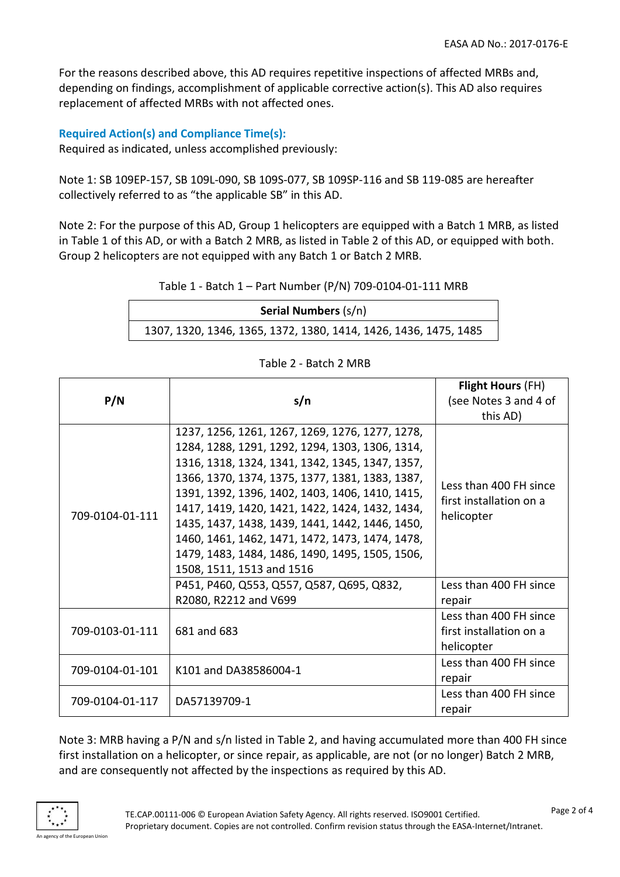For the reasons described above, this AD requires repetitive inspections of affected MRBs and, depending on findings, accomplishment of applicable corrective action(s). This AD also requires replacement of affected MRBs with not affected ones.

# **Required Action(s) and Compliance Time(s):**

Required as indicated, unless accomplished previously:

Note 1: SB 109EP-157, SB 109L-090, SB 109S-077, SB 109SP-116 and SB 119-085 are hereafter collectively referred to as "the applicable SB" in this AD.

Note 2: For the purpose of this AD, Group 1 helicopters are equipped with a Batch 1 MRB, as listed in Table 1 of this AD, or with a Batch 2 MRB, as listed in Table 2 of this AD, or equipped with both. Group 2 helicopters are not equipped with any Batch 1 or Batch 2 MRB.

| Table 1 - Batch 1 - Part Number (P/N) 709-0104-01-111 MRB |  |
|-----------------------------------------------------------|--|
|-----------------------------------------------------------|--|

| <b>Serial Numbers (s/n)</b>                                      |  |  |
|------------------------------------------------------------------|--|--|
| 1307, 1320, 1346, 1365, 1372, 1380, 1414, 1426, 1436, 1475, 1485 |  |  |

| P/N             | s/n                                                                                                                                                                                                                                                                                                                                                                                                                                                                                                  | <b>Flight Hours (FH)</b>                                        |  |
|-----------------|------------------------------------------------------------------------------------------------------------------------------------------------------------------------------------------------------------------------------------------------------------------------------------------------------------------------------------------------------------------------------------------------------------------------------------------------------------------------------------------------------|-----------------------------------------------------------------|--|
|                 |                                                                                                                                                                                                                                                                                                                                                                                                                                                                                                      | (see Notes 3 and 4 of                                           |  |
|                 |                                                                                                                                                                                                                                                                                                                                                                                                                                                                                                      | this AD)                                                        |  |
| 709-0104-01-111 | 1237, 1256, 1261, 1267, 1269, 1276, 1277, 1278,<br>1284, 1288, 1291, 1292, 1294, 1303, 1306, 1314,<br>1316, 1318, 1324, 1341, 1342, 1345, 1347, 1357,<br>1366, 1370, 1374, 1375, 1377, 1381, 1383, 1387,<br>1391, 1392, 1396, 1402, 1403, 1406, 1410, 1415,<br>1417, 1419, 1420, 1421, 1422, 1424, 1432, 1434,<br>1435, 1437, 1438, 1439, 1441, 1442, 1446, 1450,<br>1460, 1461, 1462, 1471, 1472, 1473, 1474, 1478,<br>1479, 1483, 1484, 1486, 1490, 1495, 1505, 1506,<br>1508, 1511, 1513 and 1516 | Less than 400 FH since<br>first installation on a<br>helicopter |  |
|                 | P451, P460, Q553, Q557, Q587, Q695, Q832,<br>R2080, R2212 and V699                                                                                                                                                                                                                                                                                                                                                                                                                                   | Less than 400 FH since<br>repair                                |  |
| 709-0103-01-111 | 681 and 683                                                                                                                                                                                                                                                                                                                                                                                                                                                                                          | Less than 400 FH since<br>first installation on a<br>helicopter |  |
| 709-0104-01-101 | K101 and DA38586004-1                                                                                                                                                                                                                                                                                                                                                                                                                                                                                | Less than 400 FH since<br>repair                                |  |
| 709-0104-01-117 | DA57139709-1                                                                                                                                                                                                                                                                                                                                                                                                                                                                                         | Less than 400 FH since<br>repair                                |  |

Table 2 - Batch 2 MRB

Note 3: MRB having a P/N and s/n listed in Table 2, and having accumulated more than 400 FH since first installation on a helicopter, or since repair, as applicable, are not (or no longer) Batch 2 MRB, and are consequently not affected by the inspections as required by this AD.

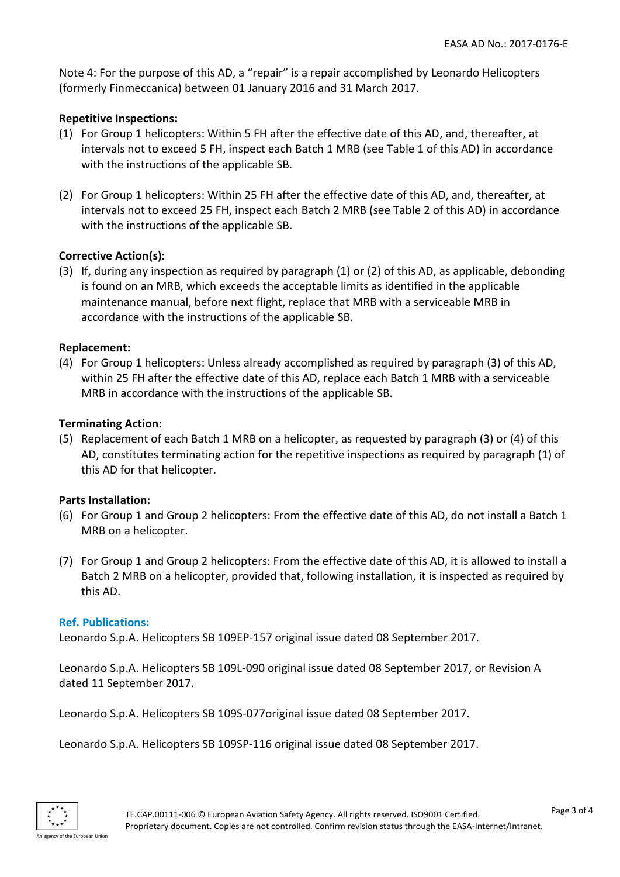Note 4: For the purpose of this AD, a "repair" is a repair accomplished by Leonardo Helicopters (formerly Finmeccanica) between 01 January 2016 and 31 March 2017.

## **Repetitive Inspections:**

- (1) For Group 1 helicopters: Within 5 FH after the effective date of this AD, and, thereafter, at intervals not to exceed 5 FH, inspect each Batch 1 MRB (see Table 1 of this AD) in accordance with the instructions of the applicable SB.
- (2) For Group 1 helicopters: Within 25 FH after the effective date of this AD, and, thereafter, at intervals not to exceed 25 FH, inspect each Batch 2 MRB (see Table 2 of this AD) in accordance with the instructions of the applicable SB.

#### **Corrective Action(s):**

(3) If, during any inspection as required by paragraph (1) or (2) of this AD, as applicable, debonding is found on an MRB, which exceeds the acceptable limits as identified in the applicable maintenance manual, before next flight, replace that MRB with a serviceable MRB in accordance with the instructions of the applicable SB.

#### **Replacement:**

(4) For Group 1 helicopters: Unless already accomplished as required by paragraph (3) of this AD, within 25 FH after the effective date of this AD, replace each Batch 1 MRB with a serviceable MRB in accordance with the instructions of the applicable SB.

#### **Terminating Action:**

(5) Replacement of each Batch 1 MRB on a helicopter, as requested by paragraph (3) or (4) of this AD, constitutes terminating action for the repetitive inspections as required by paragraph (1) of this AD for that helicopter.

#### **Parts Installation:**

- (6) For Group 1 and Group 2 helicopters: From the effective date of this AD, do not install a Batch 1 MRB on a helicopter.
- (7) For Group 1 and Group 2 helicopters: From the effective date of this AD, it is allowed to install a Batch 2 MRB on a helicopter, provided that, following installation, it is inspected as required by this AD.

#### **Ref. Publications:**

Leonardo S.p.A. Helicopters SB 109EP-157 original issue dated 08 September 2017.

Leonardo S.p.A. Helicopters SB 109L-090 original issue dated 08 September 2017, or Revision A dated 11 September 2017.

Leonardo S.p.A. Helicopters SB 109S-077original issue dated 08 September 2017.

Leonardo S.p.A. Helicopters SB 109SP-116 original issue dated 08 September 2017.